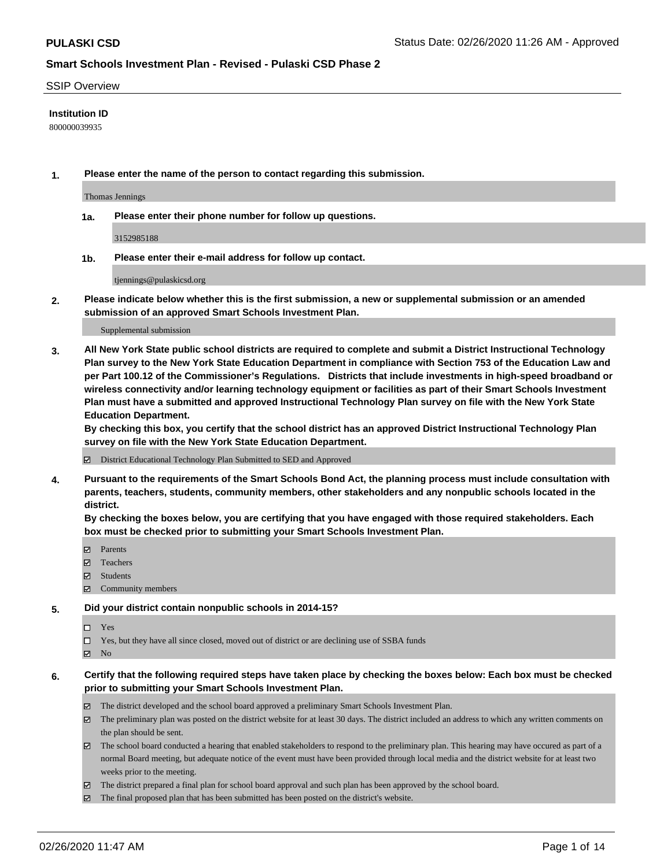#### SSIP Overview

### **Institution ID**

800000039935

**1. Please enter the name of the person to contact regarding this submission.**

Thomas Jennings

**1a. Please enter their phone number for follow up questions.**

3152985188

**1b. Please enter their e-mail address for follow up contact.**

tjennings@pulaskicsd.org

**2. Please indicate below whether this is the first submission, a new or supplemental submission or an amended submission of an approved Smart Schools Investment Plan.**

#### Supplemental submission

**3. All New York State public school districts are required to complete and submit a District Instructional Technology Plan survey to the New York State Education Department in compliance with Section 753 of the Education Law and per Part 100.12 of the Commissioner's Regulations. Districts that include investments in high-speed broadband or wireless connectivity and/or learning technology equipment or facilities as part of their Smart Schools Investment Plan must have a submitted and approved Instructional Technology Plan survey on file with the New York State Education Department.** 

**By checking this box, you certify that the school district has an approved District Instructional Technology Plan survey on file with the New York State Education Department.**

District Educational Technology Plan Submitted to SED and Approved

**4. Pursuant to the requirements of the Smart Schools Bond Act, the planning process must include consultation with parents, teachers, students, community members, other stakeholders and any nonpublic schools located in the district.** 

**By checking the boxes below, you are certifying that you have engaged with those required stakeholders. Each box must be checked prior to submitting your Smart Schools Investment Plan.**

- **マ** Parents
- Teachers
- Students
- Community members

#### **5. Did your district contain nonpublic schools in 2014-15?**

 $\neg$  Yes

Yes, but they have all since closed, moved out of district or are declining use of SSBA funds

**Z** No

### **6. Certify that the following required steps have taken place by checking the boxes below: Each box must be checked prior to submitting your Smart Schools Investment Plan.**

- The district developed and the school board approved a preliminary Smart Schools Investment Plan.
- $\boxtimes$  The preliminary plan was posted on the district website for at least 30 days. The district included an address to which any written comments on the plan should be sent.
- $\boxtimes$  The school board conducted a hearing that enabled stakeholders to respond to the preliminary plan. This hearing may have occured as part of a normal Board meeting, but adequate notice of the event must have been provided through local media and the district website for at least two weeks prior to the meeting.
- The district prepared a final plan for school board approval and such plan has been approved by the school board.
- The final proposed plan that has been submitted has been posted on the district's website.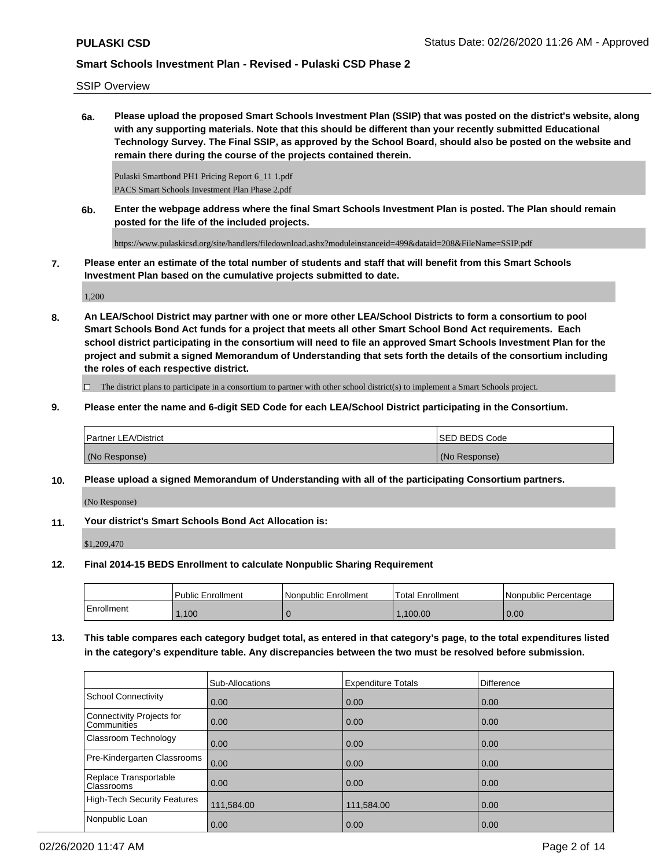SSIP Overview

**6a. Please upload the proposed Smart Schools Investment Plan (SSIP) that was posted on the district's website, along with any supporting materials. Note that this should be different than your recently submitted Educational Technology Survey. The Final SSIP, as approved by the School Board, should also be posted on the website and remain there during the course of the projects contained therein.**

Pulaski Smartbond PH1 Pricing Report 6\_11 1.pdf PACS Smart Schools Investment Plan Phase 2.pdf

**6b. Enter the webpage address where the final Smart Schools Investment Plan is posted. The Plan should remain posted for the life of the included projects.**

https://www.pulaskicsd.org/site/handlers/filedownload.ashx?moduleinstanceid=499&dataid=208&FileName=SSIP.pdf

**7. Please enter an estimate of the total number of students and staff that will benefit from this Smart Schools Investment Plan based on the cumulative projects submitted to date.**

1,200

**8. An LEA/School District may partner with one or more other LEA/School Districts to form a consortium to pool Smart Schools Bond Act funds for a project that meets all other Smart School Bond Act requirements. Each school district participating in the consortium will need to file an approved Smart Schools Investment Plan for the project and submit a signed Memorandum of Understanding that sets forth the details of the consortium including the roles of each respective district.**

 $\Box$  The district plans to participate in a consortium to partner with other school district(s) to implement a Smart Schools project.

**9. Please enter the name and 6-digit SED Code for each LEA/School District participating in the Consortium.**

| <b>Partner LEA/District</b> | <b>ISED BEDS Code</b> |
|-----------------------------|-----------------------|
| (No Response)               | (No Response)         |

**10. Please upload a signed Memorandum of Understanding with all of the participating Consortium partners.**

(No Response)

**11. Your district's Smart Schools Bond Act Allocation is:**

\$1,209,470

**12. Final 2014-15 BEDS Enrollment to calculate Nonpublic Sharing Requirement**

|            | <b>Public Enrollment</b> | Nonpublic Enrollment | 'Total Enrollment | l Nonpublic Percentage |
|------------|--------------------------|----------------------|-------------------|------------------------|
| Enrollment | ,100                     |                      | .100.00           | 0.00                   |

**13. This table compares each category budget total, as entered in that category's page, to the total expenditures listed in the category's expenditure table. Any discrepancies between the two must be resolved before submission.**

|                                                 | Sub-Allocations   | <b>Expenditure Totals</b> | <b>Difference</b> |
|-------------------------------------------------|-------------------|---------------------------|-------------------|
| School Connectivity                             | 0.00              | 0.00                      | 0.00              |
| Connectivity Projects for<br><b>Communities</b> | $\overline{0.00}$ | 0.00                      | 0.00              |
| <b>Classroom Technology</b>                     | 0.00              | 0.00                      | 0.00              |
| Pre-Kindergarten Classrooms                     | 0.00              | 0.00                      | 0.00              |
| Replace Transportable<br><b>Classrooms</b>      | $\overline{0.00}$ | 0.00                      | 0.00              |
| High-Tech Security Features                     | 111,584.00        | 111,584.00                | 0.00              |
| Nonpublic Loan                                  | 0.00              | 0.00                      | 0.00              |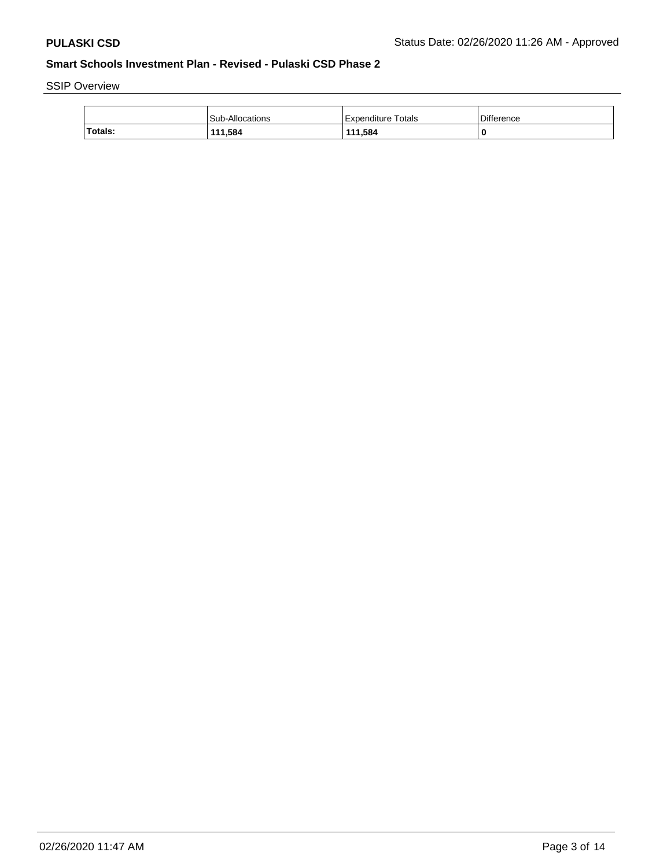SSIP Overview

|         | Sub-Allocations | l Expenditure Totals | Difference |
|---------|-----------------|----------------------|------------|
| Totals: | 111,584         | 111.584              |            |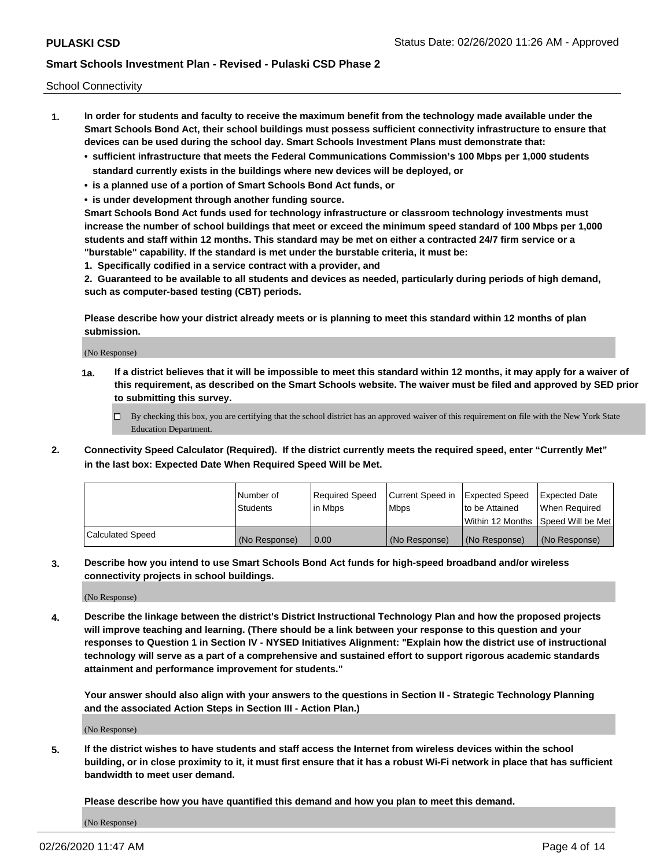School Connectivity

- **1. In order for students and faculty to receive the maximum benefit from the technology made available under the Smart Schools Bond Act, their school buildings must possess sufficient connectivity infrastructure to ensure that devices can be used during the school day. Smart Schools Investment Plans must demonstrate that:**
	- **• sufficient infrastructure that meets the Federal Communications Commission's 100 Mbps per 1,000 students standard currently exists in the buildings where new devices will be deployed, or**
	- **• is a planned use of a portion of Smart Schools Bond Act funds, or**
	- **• is under development through another funding source.**

**Smart Schools Bond Act funds used for technology infrastructure or classroom technology investments must increase the number of school buildings that meet or exceed the minimum speed standard of 100 Mbps per 1,000 students and staff within 12 months. This standard may be met on either a contracted 24/7 firm service or a "burstable" capability. If the standard is met under the burstable criteria, it must be:**

**1. Specifically codified in a service contract with a provider, and**

**2. Guaranteed to be available to all students and devices as needed, particularly during periods of high demand, such as computer-based testing (CBT) periods.**

**Please describe how your district already meets or is planning to meet this standard within 12 months of plan submission.**

(No Response)

**1a. If a district believes that it will be impossible to meet this standard within 12 months, it may apply for a waiver of this requirement, as described on the Smart Schools website. The waiver must be filed and approved by SED prior to submitting this survey.**

 $\Box$  By checking this box, you are certifying that the school district has an approved waiver of this requirement on file with the New York State Education Department.

**2. Connectivity Speed Calculator (Required). If the district currently meets the required speed, enter "Currently Met" in the last box: Expected Date When Required Speed Will be Met.**

|                  | l Number of     | Required Speed | Current Speed in | Expected Speed  | Expected Date                           |
|------------------|-----------------|----------------|------------------|-----------------|-----------------------------------------|
|                  | <b>Students</b> | In Mbps        | l Mbps           | to be Attained  | When Required                           |
|                  |                 |                |                  |                 | l Within 12 Months ISpeed Will be Met l |
| Calculated Speed | (No Response)   | 0.00           | (No Response)    | l (No Response) | l (No Response)                         |

**3. Describe how you intend to use Smart Schools Bond Act funds for high-speed broadband and/or wireless connectivity projects in school buildings.**

(No Response)

**4. Describe the linkage between the district's District Instructional Technology Plan and how the proposed projects will improve teaching and learning. (There should be a link between your response to this question and your responses to Question 1 in Section IV - NYSED Initiatives Alignment: "Explain how the district use of instructional technology will serve as a part of a comprehensive and sustained effort to support rigorous academic standards attainment and performance improvement for students."** 

**Your answer should also align with your answers to the questions in Section II - Strategic Technology Planning and the associated Action Steps in Section III - Action Plan.)**

(No Response)

**5. If the district wishes to have students and staff access the Internet from wireless devices within the school building, or in close proximity to it, it must first ensure that it has a robust Wi-Fi network in place that has sufficient bandwidth to meet user demand.**

**Please describe how you have quantified this demand and how you plan to meet this demand.**

(No Response)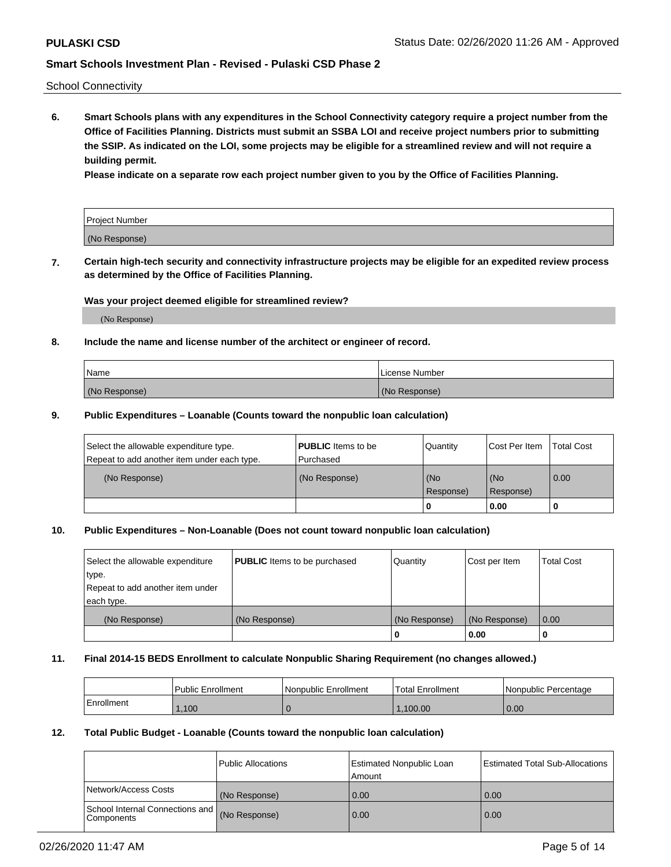School Connectivity

**6. Smart Schools plans with any expenditures in the School Connectivity category require a project number from the Office of Facilities Planning. Districts must submit an SSBA LOI and receive project numbers prior to submitting the SSIP. As indicated on the LOI, some projects may be eligible for a streamlined review and will not require a building permit.**

**Please indicate on a separate row each project number given to you by the Office of Facilities Planning.**

| Project Number |  |
|----------------|--|
| (No Response)  |  |

**7. Certain high-tech security and connectivity infrastructure projects may be eligible for an expedited review process as determined by the Office of Facilities Planning.**

#### **Was your project deemed eligible for streamlined review?**

(No Response)

### **8. Include the name and license number of the architect or engineer of record.**

| Name          | License Number |
|---------------|----------------|
| (No Response) | (No Response)  |

### **9. Public Expenditures – Loanable (Counts toward the nonpublic loan calculation)**

| Select the allowable expenditure type.<br>Repeat to add another item under each type. | <b>PUBLIC</b> Items to be<br>l Purchased | Quantity           | Cost Per Item    | <b>Total Cost</b> |
|---------------------------------------------------------------------------------------|------------------------------------------|--------------------|------------------|-------------------|
| (No Response)                                                                         | (No Response)                            | l (No<br>Response) | (No<br>Response) | $\overline{0.00}$ |
|                                                                                       |                                          | O                  | 0.00             |                   |

### **10. Public Expenditures – Non-Loanable (Does not count toward nonpublic loan calculation)**

| Select the allowable expenditure<br>type.<br>Repeat to add another item under<br>each type. | <b>PUBLIC</b> Items to be purchased | Quantity      | Cost per Item | <b>Total Cost</b> |
|---------------------------------------------------------------------------------------------|-------------------------------------|---------------|---------------|-------------------|
| (No Response)                                                                               | (No Response)                       | (No Response) | (No Response) | 0.00              |
|                                                                                             |                                     |               | 0.00          |                   |

#### **11. Final 2014-15 BEDS Enrollment to calculate Nonpublic Sharing Requirement (no changes allowed.)**

|            | Public Enrollment | Nonpublic Enrollment | <b>Total Enrollment</b> | l Nonpublic Percentage |
|------------|-------------------|----------------------|-------------------------|------------------------|
| Enrollment | ,100              |                      | .100.00                 | 0.00                   |

### **12. Total Public Budget - Loanable (Counts toward the nonpublic loan calculation)**

|                                                      | Public Allocations | <b>Estimated Nonpublic Loan</b><br>Amount | Estimated Total Sub-Allocations |
|------------------------------------------------------|--------------------|-------------------------------------------|---------------------------------|
| Network/Access Costs                                 | (No Response)      | 0.00                                      | 0.00                            |
| School Internal Connections and<br><b>Components</b> | (No Response)      | 0.00                                      | 0.00                            |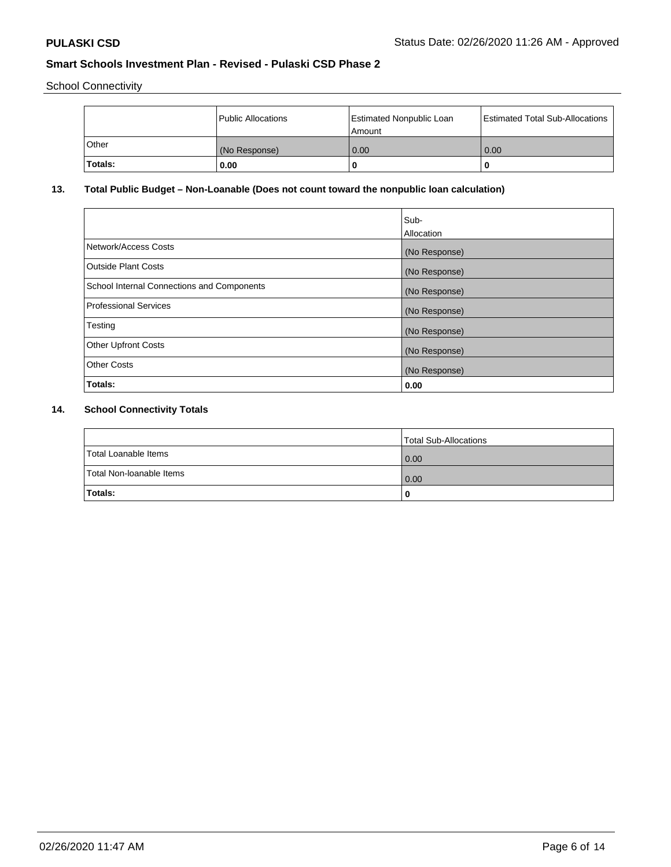School Connectivity

|              | Public Allocations | <b>Estimated Nonpublic Loan</b><br>l Amount | Estimated Total Sub-Allocations |
|--------------|--------------------|---------------------------------------------|---------------------------------|
| <b>Other</b> | (No Response)      | 0.00                                        | 0.00                            |
| Totals:      | 0.00               | 0                                           |                                 |

## **13. Total Public Budget – Non-Loanable (Does not count toward the nonpublic loan calculation)**

|                                                   | Sub-<br>Allocation |
|---------------------------------------------------|--------------------|
| Network/Access Costs                              | (No Response)      |
| Outside Plant Costs                               | (No Response)      |
| <b>School Internal Connections and Components</b> | (No Response)      |
| <b>Professional Services</b>                      | (No Response)      |
| Testing                                           | (No Response)      |
| <b>Other Upfront Costs</b>                        | (No Response)      |
| <b>Other Costs</b>                                | (No Response)      |
| Totals:                                           | 0.00               |

# **14. School Connectivity Totals**

|                          | Total Sub-Allocations |
|--------------------------|-----------------------|
| Total Loanable Items     | 0.00                  |
| Total Non-Ioanable Items | 0.00                  |
| Totals:                  |                       |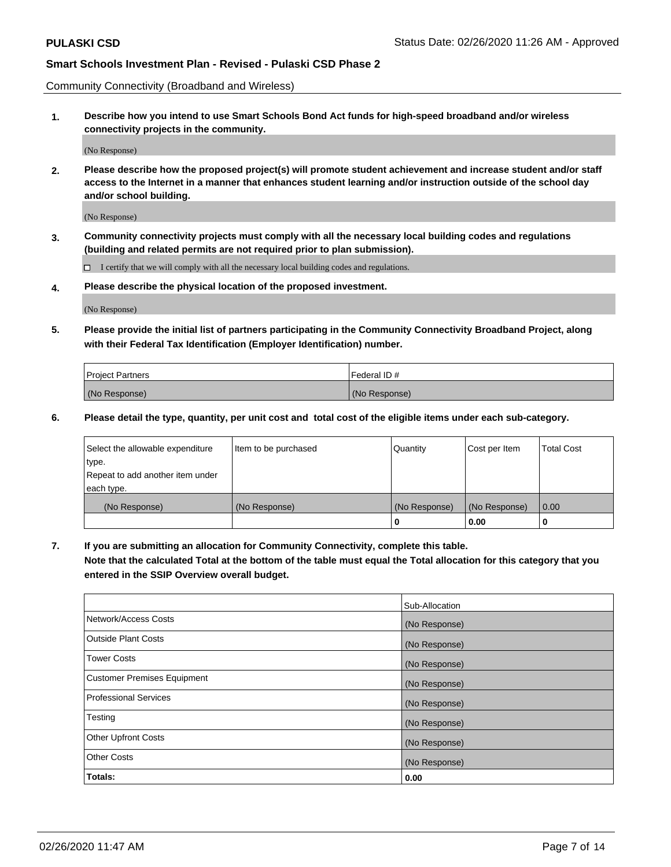Community Connectivity (Broadband and Wireless)

**1. Describe how you intend to use Smart Schools Bond Act funds for high-speed broadband and/or wireless connectivity projects in the community.**

(No Response)

**2. Please describe how the proposed project(s) will promote student achievement and increase student and/or staff access to the Internet in a manner that enhances student learning and/or instruction outside of the school day and/or school building.**

(No Response)

**3. Community connectivity projects must comply with all the necessary local building codes and regulations (building and related permits are not required prior to plan submission).**

 $\Box$  I certify that we will comply with all the necessary local building codes and regulations.

**4. Please describe the physical location of the proposed investment.**

(No Response)

**5. Please provide the initial list of partners participating in the Community Connectivity Broadband Project, along with their Federal Tax Identification (Employer Identification) number.**

| <b>Project Partners</b> | l Federal ID # |
|-------------------------|----------------|
| (No Response)           | (No Response)  |

**6. Please detail the type, quantity, per unit cost and total cost of the eligible items under each sub-category.**

| Select the allowable expenditure | Item to be purchased | Quantity      | Cost per Item | <b>Total Cost</b> |
|----------------------------------|----------------------|---------------|---------------|-------------------|
| type.                            |                      |               |               |                   |
| Repeat to add another item under |                      |               |               |                   |
| each type.                       |                      |               |               |                   |
| (No Response)                    | (No Response)        | (No Response) | (No Response) | 0.00              |
|                                  |                      | o             | 0.00          |                   |

**7. If you are submitting an allocation for Community Connectivity, complete this table.**

**Note that the calculated Total at the bottom of the table must equal the Total allocation for this category that you entered in the SSIP Overview overall budget.**

|                                    | Sub-Allocation |
|------------------------------------|----------------|
| Network/Access Costs               | (No Response)  |
| Outside Plant Costs                | (No Response)  |
| <b>Tower Costs</b>                 | (No Response)  |
| <b>Customer Premises Equipment</b> | (No Response)  |
| <b>Professional Services</b>       | (No Response)  |
| Testing                            | (No Response)  |
| <b>Other Upfront Costs</b>         | (No Response)  |
| <b>Other Costs</b>                 | (No Response)  |
| Totals:                            | 0.00           |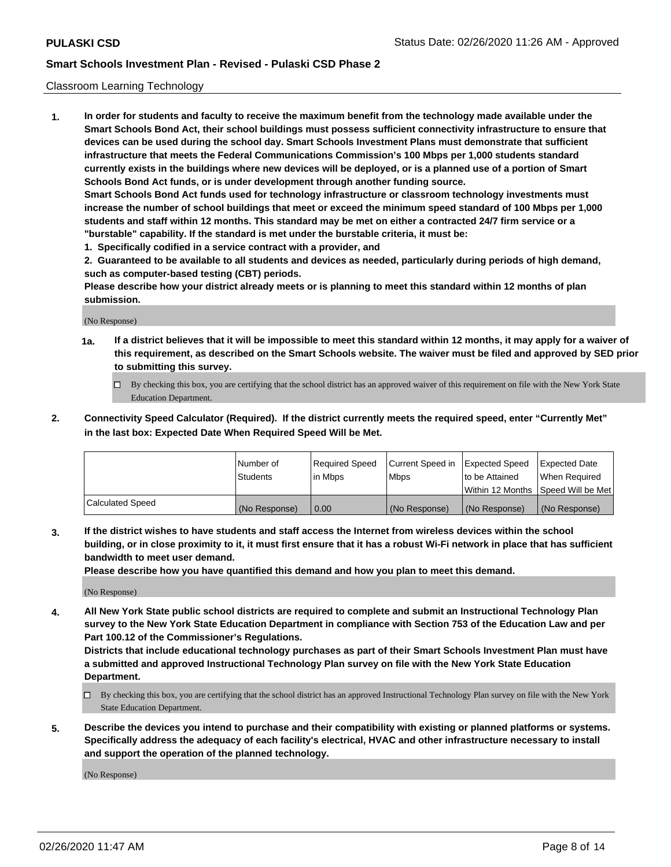### Classroom Learning Technology

**1. In order for students and faculty to receive the maximum benefit from the technology made available under the Smart Schools Bond Act, their school buildings must possess sufficient connectivity infrastructure to ensure that devices can be used during the school day. Smart Schools Investment Plans must demonstrate that sufficient infrastructure that meets the Federal Communications Commission's 100 Mbps per 1,000 students standard currently exists in the buildings where new devices will be deployed, or is a planned use of a portion of Smart Schools Bond Act funds, or is under development through another funding source. Smart Schools Bond Act funds used for technology infrastructure or classroom technology investments must increase the number of school buildings that meet or exceed the minimum speed standard of 100 Mbps per 1,000 students and staff within 12 months. This standard may be met on either a contracted 24/7 firm service or a "burstable" capability. If the standard is met under the burstable criteria, it must be:**

**1. Specifically codified in a service contract with a provider, and**

**2. Guaranteed to be available to all students and devices as needed, particularly during periods of high demand, such as computer-based testing (CBT) periods.**

**Please describe how your district already meets or is planning to meet this standard within 12 months of plan submission.**

(No Response)

- **1a. If a district believes that it will be impossible to meet this standard within 12 months, it may apply for a waiver of this requirement, as described on the Smart Schools website. The waiver must be filed and approved by SED prior to submitting this survey.**
	- By checking this box, you are certifying that the school district has an approved waiver of this requirement on file with the New York State Education Department.
- **2. Connectivity Speed Calculator (Required). If the district currently meets the required speed, enter "Currently Met" in the last box: Expected Date When Required Speed Will be Met.**

|                  | l Number of     | Required Speed | Current Speed in | <b>Expected Speed</b> | <b>Expected Date</b>                |
|------------------|-----------------|----------------|------------------|-----------------------|-------------------------------------|
|                  | <b>Students</b> | l in Mbps      | l Mbps           | to be Attained        | When Required                       |
|                  |                 |                |                  |                       | Within 12 Months  Speed Will be Met |
| Calculated Speed | (No Response)   | 0.00           | (No Response)    | l (No Response)       | (No Response)                       |

**3. If the district wishes to have students and staff access the Internet from wireless devices within the school building, or in close proximity to it, it must first ensure that it has a robust Wi-Fi network in place that has sufficient bandwidth to meet user demand.**

**Please describe how you have quantified this demand and how you plan to meet this demand.**

(No Response)

**4. All New York State public school districts are required to complete and submit an Instructional Technology Plan survey to the New York State Education Department in compliance with Section 753 of the Education Law and per Part 100.12 of the Commissioner's Regulations.**

**Districts that include educational technology purchases as part of their Smart Schools Investment Plan must have a submitted and approved Instructional Technology Plan survey on file with the New York State Education Department.**

- By checking this box, you are certifying that the school district has an approved Instructional Technology Plan survey on file with the New York State Education Department.
- **5. Describe the devices you intend to purchase and their compatibility with existing or planned platforms or systems. Specifically address the adequacy of each facility's electrical, HVAC and other infrastructure necessary to install and support the operation of the planned technology.**

(No Response)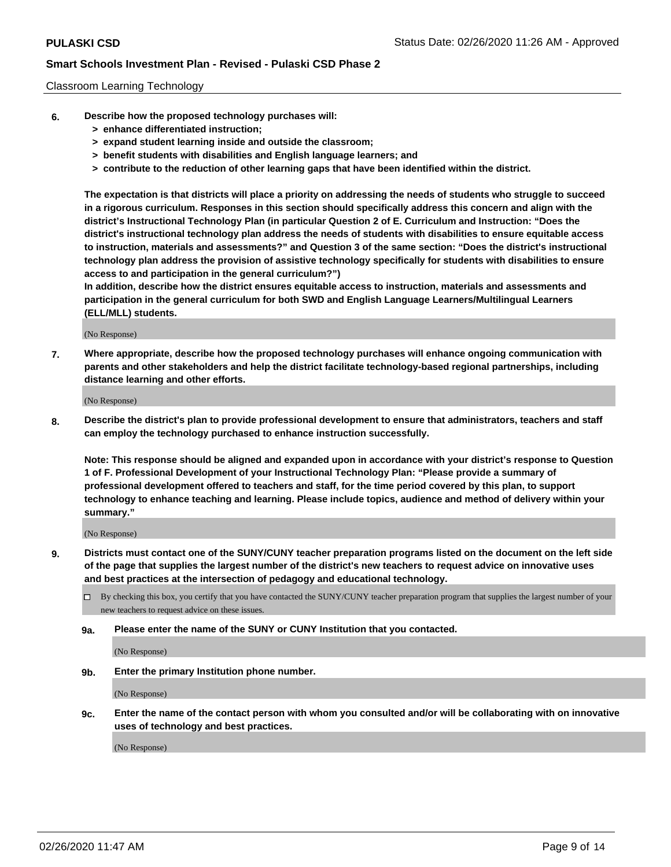#### Classroom Learning Technology

- **6. Describe how the proposed technology purchases will:**
	- **> enhance differentiated instruction;**
	- **> expand student learning inside and outside the classroom;**
	- **> benefit students with disabilities and English language learners; and**
	- **> contribute to the reduction of other learning gaps that have been identified within the district.**

**The expectation is that districts will place a priority on addressing the needs of students who struggle to succeed in a rigorous curriculum. Responses in this section should specifically address this concern and align with the district's Instructional Technology Plan (in particular Question 2 of E. Curriculum and Instruction: "Does the district's instructional technology plan address the needs of students with disabilities to ensure equitable access to instruction, materials and assessments?" and Question 3 of the same section: "Does the district's instructional technology plan address the provision of assistive technology specifically for students with disabilities to ensure access to and participation in the general curriculum?")**

**In addition, describe how the district ensures equitable access to instruction, materials and assessments and participation in the general curriculum for both SWD and English Language Learners/Multilingual Learners (ELL/MLL) students.**

(No Response)

**7. Where appropriate, describe how the proposed technology purchases will enhance ongoing communication with parents and other stakeholders and help the district facilitate technology-based regional partnerships, including distance learning and other efforts.**

(No Response)

**8. Describe the district's plan to provide professional development to ensure that administrators, teachers and staff can employ the technology purchased to enhance instruction successfully.**

**Note: This response should be aligned and expanded upon in accordance with your district's response to Question 1 of F. Professional Development of your Instructional Technology Plan: "Please provide a summary of professional development offered to teachers and staff, for the time period covered by this plan, to support technology to enhance teaching and learning. Please include topics, audience and method of delivery within your summary."**

(No Response)

- **9. Districts must contact one of the SUNY/CUNY teacher preparation programs listed on the document on the left side of the page that supplies the largest number of the district's new teachers to request advice on innovative uses and best practices at the intersection of pedagogy and educational technology.**
	- By checking this box, you certify that you have contacted the SUNY/CUNY teacher preparation program that supplies the largest number of your new teachers to request advice on these issues.
	- **9a. Please enter the name of the SUNY or CUNY Institution that you contacted.**

(No Response)

**9b. Enter the primary Institution phone number.**

(No Response)

**9c. Enter the name of the contact person with whom you consulted and/or will be collaborating with on innovative uses of technology and best practices.**

(No Response)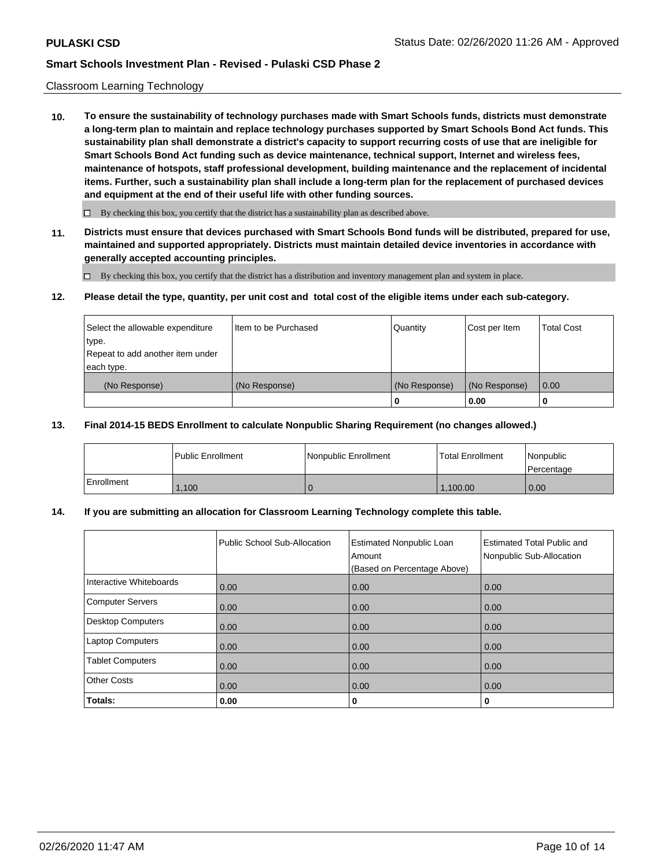#### Classroom Learning Technology

**10. To ensure the sustainability of technology purchases made with Smart Schools funds, districts must demonstrate a long-term plan to maintain and replace technology purchases supported by Smart Schools Bond Act funds. This sustainability plan shall demonstrate a district's capacity to support recurring costs of use that are ineligible for Smart Schools Bond Act funding such as device maintenance, technical support, Internet and wireless fees, maintenance of hotspots, staff professional development, building maintenance and the replacement of incidental items. Further, such a sustainability plan shall include a long-term plan for the replacement of purchased devices and equipment at the end of their useful life with other funding sources.**

 $\Box$  By checking this box, you certify that the district has a sustainability plan as described above.

**11. Districts must ensure that devices purchased with Smart Schools Bond funds will be distributed, prepared for use, maintained and supported appropriately. Districts must maintain detailed device inventories in accordance with generally accepted accounting principles.**

By checking this box, you certify that the district has a distribution and inventory management plan and system in place.

#### **12. Please detail the type, quantity, per unit cost and total cost of the eligible items under each sub-category.**

| Select the allowable expenditure<br>type.<br>Repeat to add another item under | Item to be Purchased | Quantity      | Cost per Item | <b>Total Cost</b> |
|-------------------------------------------------------------------------------|----------------------|---------------|---------------|-------------------|
| each type.<br>(No Response)                                                   | (No Response)        | (No Response) | (No Response) | 0.00              |
|                                                                               |                      | 0             | 0.00          |                   |

### **13. Final 2014-15 BEDS Enrollment to calculate Nonpublic Sharing Requirement (no changes allowed.)**

|            | l Public Enrollment | Nonpublic Enrollment | <b>Total Enrollment</b> | Nonpublic<br>l Percentage |
|------------|---------------------|----------------------|-------------------------|---------------------------|
| Enrollment | ,100                |                      | 1,100.00                | 0.00                      |

### **14. If you are submitting an allocation for Classroom Learning Technology complete this table.**

|                          | Public School Sub-Allocation | <b>Estimated Nonpublic Loan</b><br>Amount<br>(Based on Percentage Above) | <b>Estimated Total Public and</b><br>Nonpublic Sub-Allocation |
|--------------------------|------------------------------|--------------------------------------------------------------------------|---------------------------------------------------------------|
| Interactive Whiteboards  | 0.00                         | 0.00                                                                     | 0.00                                                          |
| Computer Servers         | 0.00                         | 0.00                                                                     | 0.00                                                          |
| <b>Desktop Computers</b> | 0.00                         | 0.00                                                                     | 0.00                                                          |
| <b>Laptop Computers</b>  | 0.00                         | 0.00                                                                     | 0.00                                                          |
| <b>Tablet Computers</b>  | 0.00                         | 0.00                                                                     | 0.00                                                          |
| <b>Other Costs</b>       | 0.00                         | 0.00                                                                     | 0.00                                                          |
| Totals:                  | 0.00                         | 0                                                                        | 0                                                             |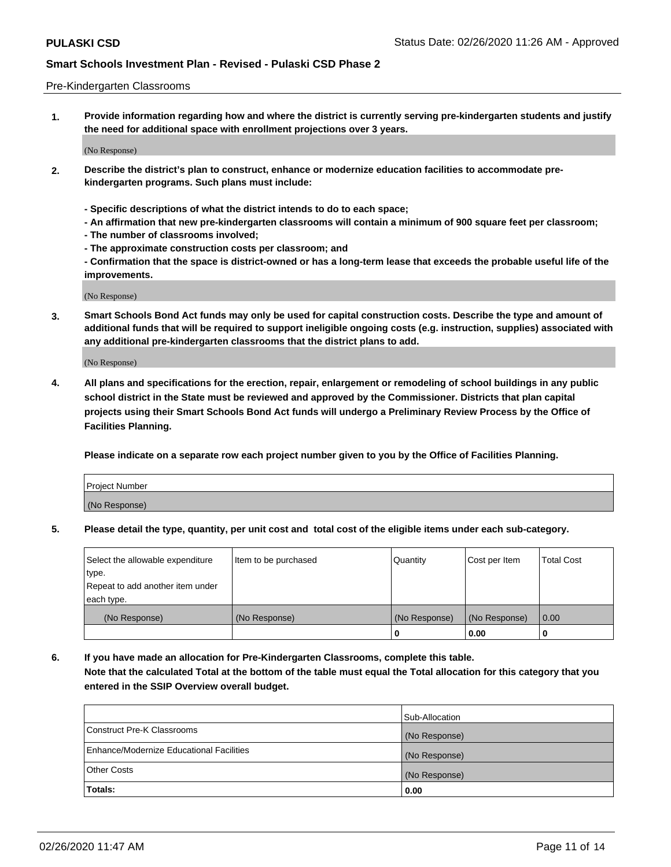#### Pre-Kindergarten Classrooms

**1. Provide information regarding how and where the district is currently serving pre-kindergarten students and justify the need for additional space with enrollment projections over 3 years.**

(No Response)

- **2. Describe the district's plan to construct, enhance or modernize education facilities to accommodate prekindergarten programs. Such plans must include:**
	- **Specific descriptions of what the district intends to do to each space;**
	- **An affirmation that new pre-kindergarten classrooms will contain a minimum of 900 square feet per classroom;**
	- **The number of classrooms involved;**
	- **The approximate construction costs per classroom; and**
	- **Confirmation that the space is district-owned or has a long-term lease that exceeds the probable useful life of the improvements.**

(No Response)

**3. Smart Schools Bond Act funds may only be used for capital construction costs. Describe the type and amount of additional funds that will be required to support ineligible ongoing costs (e.g. instruction, supplies) associated with any additional pre-kindergarten classrooms that the district plans to add.**

(No Response)

**4. All plans and specifications for the erection, repair, enlargement or remodeling of school buildings in any public school district in the State must be reviewed and approved by the Commissioner. Districts that plan capital projects using their Smart Schools Bond Act funds will undergo a Preliminary Review Process by the Office of Facilities Planning.**

**Please indicate on a separate row each project number given to you by the Office of Facilities Planning.**

| Project Number |  |
|----------------|--|
| (No Response)  |  |
|                |  |

**5. Please detail the type, quantity, per unit cost and total cost of the eligible items under each sub-category.**

| Select the allowable expenditure | Item to be purchased | Quantity      | Cost per Item | <b>Total Cost</b> |
|----------------------------------|----------------------|---------------|---------------|-------------------|
| 'type.                           |                      |               |               |                   |
| Repeat to add another item under |                      |               |               |                   |
| each type.                       |                      |               |               |                   |
| (No Response)                    | (No Response)        | (No Response) | (No Response) | 0.00              |
|                                  |                      | U             | 0.00          |                   |

**6. If you have made an allocation for Pre-Kindergarten Classrooms, complete this table. Note that the calculated Total at the bottom of the table must equal the Total allocation for this category that you entered in the SSIP Overview overall budget.**

| Totals:                                  | 0.00           |
|------------------------------------------|----------------|
| <b>Other Costs</b>                       | (No Response)  |
| Enhance/Modernize Educational Facilities | (No Response)  |
| Construct Pre-K Classrooms               | (No Response)  |
|                                          | Sub-Allocation |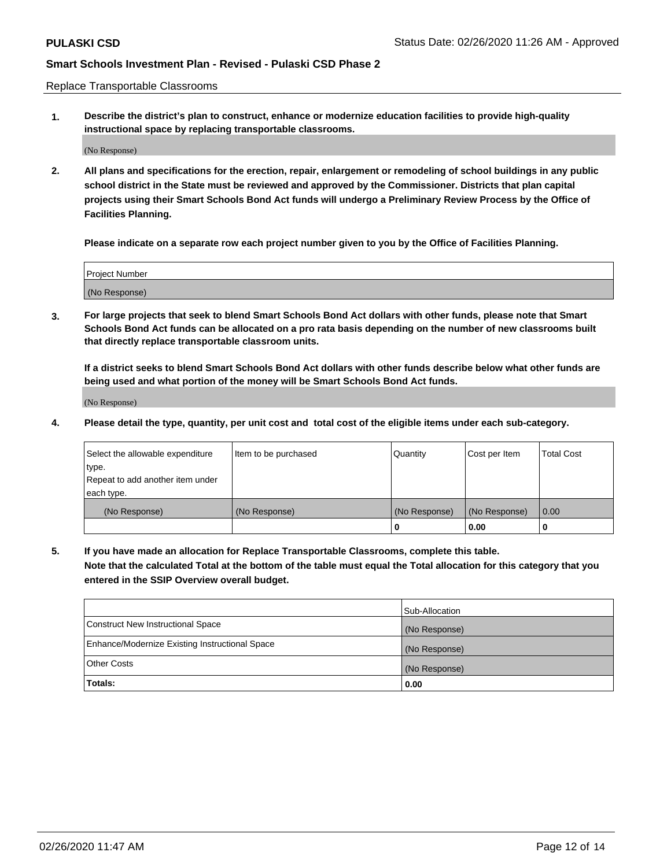Replace Transportable Classrooms

**1. Describe the district's plan to construct, enhance or modernize education facilities to provide high-quality instructional space by replacing transportable classrooms.**

(No Response)

**2. All plans and specifications for the erection, repair, enlargement or remodeling of school buildings in any public school district in the State must be reviewed and approved by the Commissioner. Districts that plan capital projects using their Smart Schools Bond Act funds will undergo a Preliminary Review Process by the Office of Facilities Planning.**

**Please indicate on a separate row each project number given to you by the Office of Facilities Planning.**

| Project Number |  |
|----------------|--|
|                |  |
|                |  |
|                |  |
| (No Response)  |  |
|                |  |
|                |  |

**3. For large projects that seek to blend Smart Schools Bond Act dollars with other funds, please note that Smart Schools Bond Act funds can be allocated on a pro rata basis depending on the number of new classrooms built that directly replace transportable classroom units.**

**If a district seeks to blend Smart Schools Bond Act dollars with other funds describe below what other funds are being used and what portion of the money will be Smart Schools Bond Act funds.**

(No Response)

**4. Please detail the type, quantity, per unit cost and total cost of the eligible items under each sub-category.**

| Select the allowable expenditure | Item to be purchased | Quantity      | Cost per Item | Total Cost |
|----------------------------------|----------------------|---------------|---------------|------------|
| ∣type.                           |                      |               |               |            |
| Repeat to add another item under |                      |               |               |            |
| each type.                       |                      |               |               |            |
| (No Response)                    | (No Response)        | (No Response) | (No Response) | 0.00       |
|                                  |                      | u             | 0.00          |            |

**5. If you have made an allocation for Replace Transportable Classrooms, complete this table. Note that the calculated Total at the bottom of the table must equal the Total allocation for this category that you entered in the SSIP Overview overall budget.**

|                                                | Sub-Allocation |
|------------------------------------------------|----------------|
| Construct New Instructional Space              | (No Response)  |
| Enhance/Modernize Existing Instructional Space | (No Response)  |
| Other Costs                                    | (No Response)  |
| Totals:                                        | 0.00           |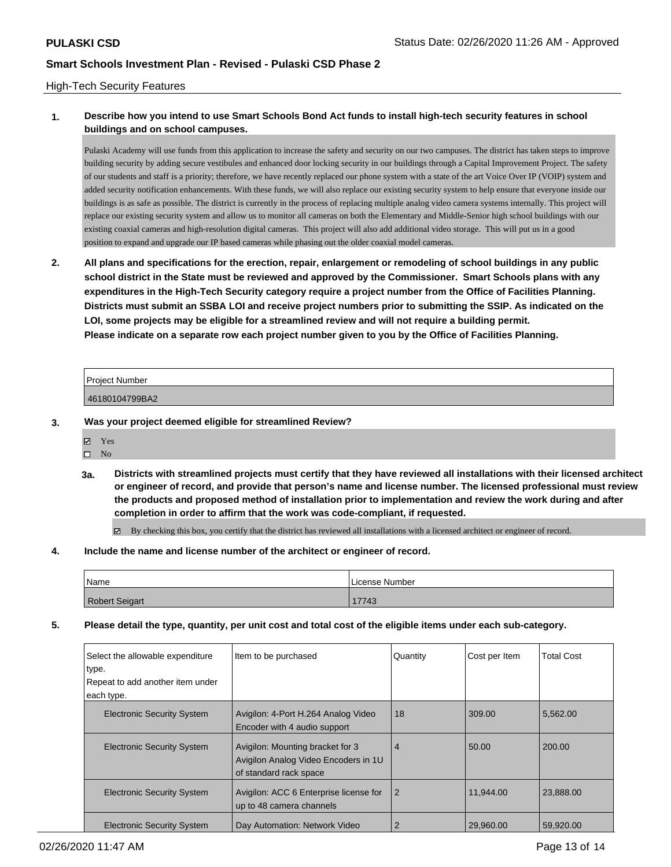### High-Tech Security Features

### **1. Describe how you intend to use Smart Schools Bond Act funds to install high-tech security features in school buildings and on school campuses.**

Pulaski Academy will use funds from this application to increase the safety and security on our two campuses. The district has taken steps to improve building security by adding secure vestibules and enhanced door locking security in our buildings through a Capital Improvement Project. The safety of our students and staff is a priority; therefore, we have recently replaced our phone system with a state of the art Voice Over IP (VOIP) system and added security notification enhancements. With these funds, we will also replace our existing security system to help ensure that everyone inside our buildings is as safe as possible. The district is currently in the process of replacing multiple analog video camera systems internally. This project will replace our existing security system and allow us to monitor all cameras on both the Elementary and Middle-Senior high school buildings with our existing coaxial cameras and high-resolution digital cameras. This project will also add additional video storage. This will put us in a good position to expand and upgrade our IP based cameras while phasing out the older coaxial model cameras.

**2. All plans and specifications for the erection, repair, enlargement or remodeling of school buildings in any public school district in the State must be reviewed and approved by the Commissioner. Smart Schools plans with any expenditures in the High-Tech Security category require a project number from the Office of Facilities Planning. Districts must submit an SSBA LOI and receive project numbers prior to submitting the SSIP. As indicated on the LOI, some projects may be eligible for a streamlined review and will not require a building permit. Please indicate on a separate row each project number given to you by the Office of Facilities Planning.**

| Project Number |  |
|----------------|--|
| 46180104799BA2 |  |

- **3. Was your project deemed eligible for streamlined Review?**
	- Yes
	- $\square$  No
	- **3a. Districts with streamlined projects must certify that they have reviewed all installations with their licensed architect or engineer of record, and provide that person's name and license number. The licensed professional must review the products and proposed method of installation prior to implementation and review the work during and after completion in order to affirm that the work was code-compliant, if requested.**

By checking this box, you certify that the district has reviewed all installations with a licensed architect or engineer of record.

#### **4. Include the name and license number of the architect or engineer of record.**

| Name                  | l License Number |
|-----------------------|------------------|
| <b>Robert Seigart</b> | 17743            |

**5. Please detail the type, quantity, per unit cost and total cost of the eligible items under each sub-category.**

| Select the allowable expenditure<br>type.<br>Repeat to add another item under | Item to be purchased                                                                               | Quantity       | Cost per Item | Total Cost |
|-------------------------------------------------------------------------------|----------------------------------------------------------------------------------------------------|----------------|---------------|------------|
| each type.                                                                    |                                                                                                    |                |               |            |
| <b>Electronic Security System</b>                                             | Avigilon: 4-Port H.264 Analog Video<br>Encoder with 4 audio support                                | 18             | 309.00        | 5,562.00   |
| <b>Electronic Security System</b>                                             | Avigilon: Mounting bracket for 3<br>Avigilon Analog Video Encoders in 1U<br>of standard rack space | 4              | 50.00         | 200.00     |
| <b>Electronic Security System</b>                                             | Avigilon: ACC 6 Enterprise license for<br>up to 48 camera channels                                 | $\overline{2}$ | 11.944.00     | 23.888.00  |
| <b>Electronic Security System</b>                                             | Day Automation: Network Video                                                                      | 2              | 29.960.00     | 59.920.00  |